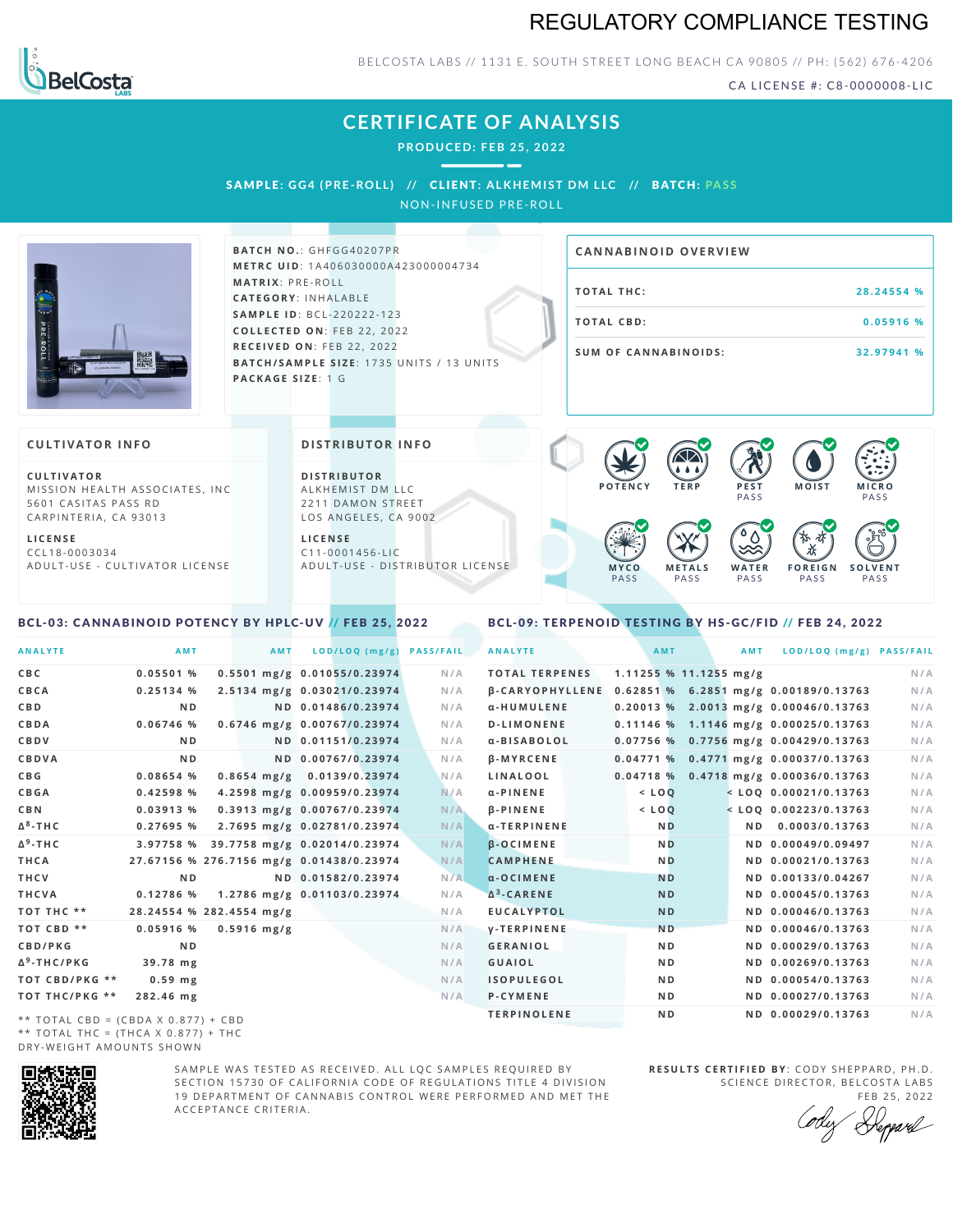



BELCOSTA LABS // 1131 E. SOUTH STREET LONG BEACH CA 90805 // PH: (562) 676-4206

CA LICENSE #: C8-0000008-LIC

**M O IS T M IC R O PASS** 

**S O L V E N T** PA S S

# **CERTIFICATE OF ANALYSIS**

**PRODUCED: F EB 25, 2022**

SAMPL E **: GG4 (PRE -ROL L ) //** CL I ENT**: A LKHEMI ST DM L LC //** BATCH**: PA S S** NON-INFUSED PRE-ROLL



**BAT C H N O .**: G H F G G 4 0 2 0 7 P R **M E T R C U ID** :1 A 4 0 6 0 3 0 0 0 0 A 4 2 3 0 0 0 0 0 4 7 3 4 **M AT R I X** :P R E - R O L L **CAT E G O R Y** : I N H A L A B L E **SA M P L E I D** :B C L - 2 2 0 2 2 2 - 1 2 3 **C O L L E C T E D O N** :F E B 2 2 , 2 0 2 2 **R E C E I V E D O N** : F E B 2 2 , 2 0 2 2 **BATCH/SAMPLE SIZE:** 1735 UNITS / 13 UNITS **PAC KA G E S I Z E** : 1 G

# **T O TAL T H C :2 8 . 2 4 5 5 4 % T O TAL CB D :0 . 0 5 9 1 6 % S U M O F CA N N ABI N O I D S : 3 2 . 9 7 9 4 1 % CA N N ABI N OID OVERVI EW**

PA S S

 $\bullet$  60 60 60 60

 $\bullet$  0.0 0.0 0.0

**W A T E R** PA S S

**F O R E I G N** PA S S

祇

#### **CULTIVATOR I N FO**

**C U L T I VAT O R** MISSION HEALTH ASSOCIATES, INC. 5601 CASITAS PASS RD CARPINTERIA, CA 93013

**L I C E N S E** C C L 1 8 - 0 0 0 3 0 3 4 A D U L T - U S E - C U L T I V A T O R L I C E N S E

<span id="page-0-0"></span>BCL-03: CANNABINOID POTENCY BY HPLC-UV // FEB 25, 2022

#### **DI STRIBUTOR I N FO**

**D I S T R IB U T O R** ALKHEMIST DM LLC 2211 DAMON STREET LOS ANGELES, CA 9002

**L I C E N S E** C 1 1 - 0 0 0 1 4 5 6 - L I C A D U L T - U S E - D I STRI B U T O R LICENSE

## <span id="page-0-1"></span>BCL-09: TERPENOID TESTING BY HS-GC/FID // FEB 24, 2022

**M E T A L S** PA S S

**M Y C O** PA S S

**P O T E N C Y T E R P P E S T**

| <b>ANALYTE</b>          | AMT            | <b>AMT</b>               | LOD/LOQ (mg/g)                           | <b>PASS/FAIL</b> | <b>ANALYTE</b>                                        | AMT            | AMT                 | LOD/LOQ (mg/g) PASS/FAIL                |     |
|-------------------------|----------------|--------------------------|------------------------------------------|------------------|-------------------------------------------------------|----------------|---------------------|-----------------------------------------|-----|
| C B C                   | 0.05501%       |                          | 0.5501 mg/g 0.01055/0.23974              | N/A              | <b>TOTAL TERPENES</b>                                 |                | 1.11255%11.1255mg/g |                                         | N/A |
| CBCA                    | 0.25134%       |                          | 2.5134 mg/g 0.03021/0.23974              | N/A              | β-CARYOPHYLLENE 0.62851 % 6.2851 mg/g 0.00189/0.13763 |                |                     |                                         | N/A |
| C B D                   | N <sub>D</sub> |                          | ND 0.01486/0.23974                       | N/A              | α-HUMULENE                                            |                |                     | 0.20013 % 2.0013 mg/g 0.00046/0.13763   | N/A |
| <b>CBDA</b>             | $0.06746$ %    |                          | 0.6746 mg/g 0.00767/0.23974              | N/A              | <b>D-LIMONENE</b>                                     |                |                     | 0.11146 % 1.1146 mg/g 0.00025/0.13763   | N/A |
| CBDV                    | N <sub>D</sub> |                          | ND 0.01151/0.23974                       | N/A              | α-BISABOLOL                                           |                |                     | 0.07756 % 0.7756 mg/g 0.00429/0.13763   | N/A |
| CBDVA                   | N <sub>D</sub> |                          | ND 0.00767/0.23974                       | N/A              | <b>B-MYRCENE</b>                                      |                |                     | $0.04771$ % 0.4771 mg/g 0.00037/0.13763 | N/A |
| C B G                   | 0.08654 %      |                          | 0.8654 mg/g 0.0139/0.23974               | N/A              | LINALOOL                                              |                |                     | 0.04718 % 0.4718 mg/g 0.00036/0.13763   | N/A |
| <b>CBGA</b>             | 0.42598 %      |                          | 4.2598 mg/g 0.00959/0.23974              | N/A              | $\alpha$ -PINENE                                      | $<$ LOQ        |                     | $<$ LOQ 0.00021/0.13763                 | N/A |
| C B N                   | $0.03913$ %    |                          | 0.3913 mg/g 0.00767/0.23974              | N/A              | <b>B-PINENE</b>                                       | $<$ LOQ        |                     | $<$ LOQ 0.00223/0.13763                 | N/A |
| Δ <sup>8</sup> -ΤΗ C    | 0.27695%       |                          | 2.7695 mg/g 0.02781/0.23974              | N/A              | α-TERPINENE                                           | <b>ND</b>      |                     | ND 0.0003/0.13763                       | N/A |
| Δ <sup>9</sup> -ΤΗ C    | 3.97758 %      |                          | 39.7758 mg/g 0.02014/0.23974             | N/A              | <b>B-OCIMENE</b>                                      | <b>ND</b>      |                     | ND 0.00049/0.09497                      | N/A |
| THCA                    |                |                          | 27.67156 % 276.7156 mg/g 0.01438/0.23974 | N/A              | <b>CAMPHENE</b>                                       | <b>ND</b>      |                     | ND 0.00021/0.13763                      | N/A |
| THCV                    | N <sub>D</sub> |                          | ND 0.01582/0.23974                       | N/A              | $\alpha$ -OCIMENE                                     | <b>ND</b>      |                     | ND 0.00133/0.04267                      | N/A |
| THCVA                   | 0.12786%       |                          | 1.2786 mg/g 0.01103/0.23974              | N/A              | $\Delta^3$ -CARENE                                    | <b>ND</b>      |                     | ND 0.00045/0.13763                      | N/A |
| тот тнс **              |                | 28.24554 % 282.4554 mg/g |                                          | N/A              | <b>EUCALYPTOL</b>                                     | <b>ND</b>      |                     | ND 0.00046/0.13763                      | N/A |
| TOT CBD **              | $0.05916$ %    | $0.5916$ mg/g            |                                          | N/A              | y-TERPINENE                                           | <b>ND</b>      |                     | ND 0.00046/0.13763                      | N/A |
| <b>CBD/PKG</b>          | N <sub>D</sub> |                          |                                          | N/A              | <b>GERANIOL</b>                                       | N <sub>D</sub> |                     | ND 0.00029/0.13763                      | N/A |
| Δ <sup>9</sup> -THC/PKG | 39.78 mg       |                          |                                          | N/A              | <b>GUAIOL</b>                                         | N <sub>D</sub> |                     | ND 0.00269/0.13763                      | N/A |
| ТОТ СВD/РКG **          | $0.59$ mg      |                          |                                          | N/A              | <b>ISOPULEGOL</b>                                     | N <sub>D</sub> |                     | ND 0.00054/0.13763                      | N/A |
| ТОТ ТНС/РКG **          | 282.46 mg      |                          |                                          | N/A              | P-CYMENE                                              | N <sub>D</sub> |                     | ND 0.00027/0.13763                      | N/A |
|                         |                |                          |                                          |                  | <b>TERPINOLENE</b>                                    | ND.            |                     | ND 0.00029/0.13763                      | N/A |

\*\* TOTAL CBD = (CBDA X 0.877) + CBD \*\* TOTAL THC =  $(THCA X 0.877) + THC$ DRY-WEIGHT AMOUNTS SHOWN



SAMPLE WAS TESTED AS RECEIVED. ALL LOC SAMPLES REQUIRED BY SECTION 15730 OF CALIFORNIA CODE OF REGULATIONS TITLE 4 DIVISION 19 DEPARTMENT OF CANNABIS CONTROL WERE PERFORMED AND MET THE A C C E P T A N C E C R I T E R I A .

**R E S U L T S C E R T I F I E D BY** : C O D Y S H E P P A R D ,P H .D . SCIENCE DIRECTOR, BELCOSTA LABS

FEB 25, 2022 Deppard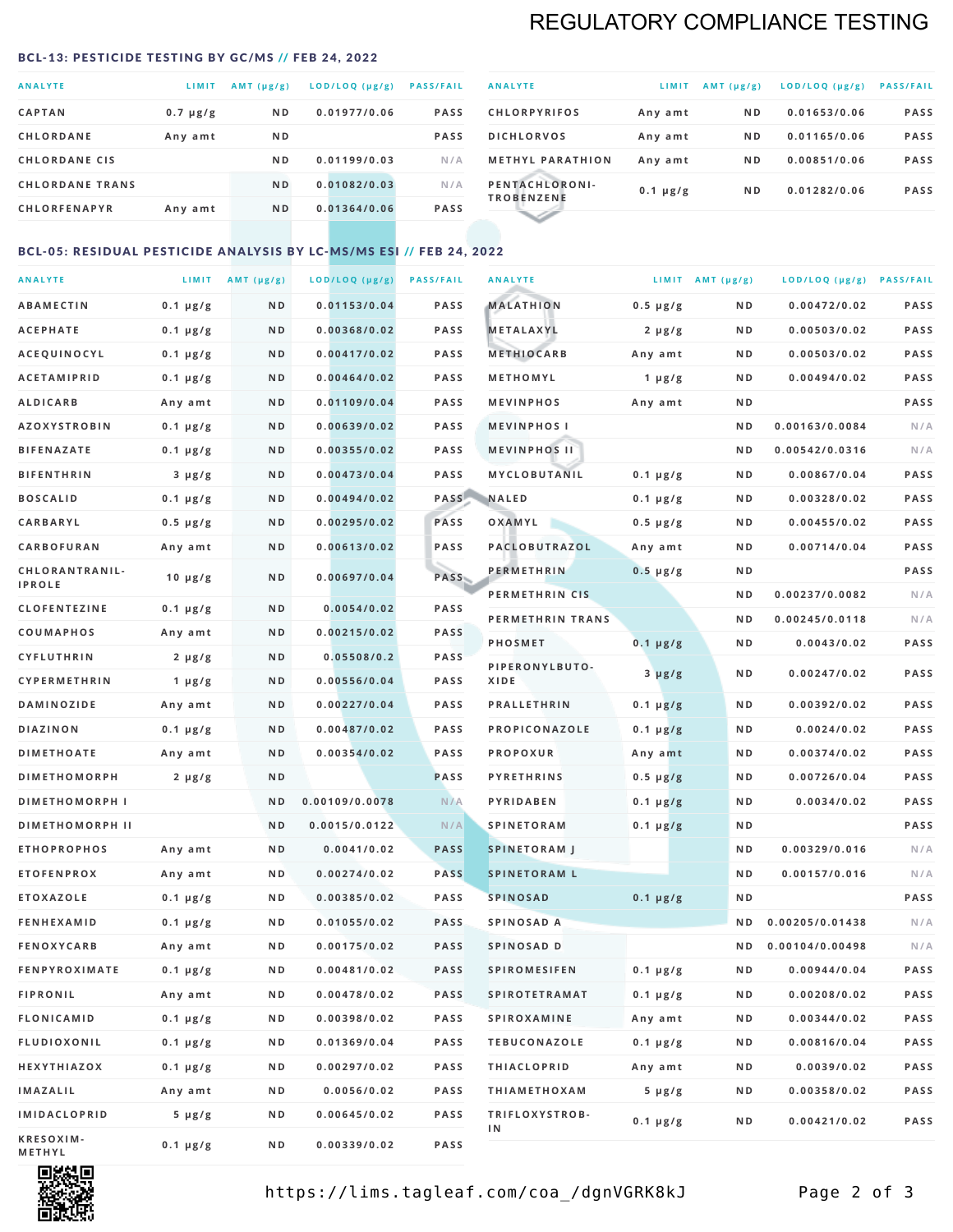# REGULATORY COMPLIANCE TESTING

#### <span id="page-1-0"></span>BCL-13: PESTICIDE TESTING BY GC/MS // FEB 24, 2022

| <b>ANALYTE</b>         | <b>LIMIT</b>  | $AMT(\mu g/g)$ | LOD/LOQ (µg/g) | <b>PASS/FAIL</b> |
|------------------------|---------------|----------------|----------------|------------------|
| <b>CAPTAN</b>          | $0.7 \mu g/g$ | N <sub>D</sub> | 0.01977/0.06   | <b>PASS</b>      |
| <b>CHLORDANE</b>       | Any amt       | N <sub>D</sub> |                | <b>PASS</b>      |
| <b>CHLORDANE CIS</b>   |               | ND.            | 0.01199/0.03   | N/A              |
| <b>CHLORDANE TRANS</b> |               | N <sub>D</sub> | 0.01082/0.03   | N/A              |
| <b>CHLORFENAPYR</b>    | Any amt       | N <sub>D</sub> | 0.01364/0.06   | <b>PASS</b>      |
|                        |               |                |                |                  |

| <b>ANALYTE</b>                      | LIMIT         | $AMT (\mu g/g)$ | LOD/LOQ (µg/g) | <b>PASS/FAIL</b> |
|-------------------------------------|---------------|-----------------|----------------|------------------|
| <b>CHLORPYRIFOS</b>                 | Any amt       | N <sub>D</sub>  | 0.01653/0.06   | <b>PASS</b>      |
| <b>DICHLORVOS</b>                   | Any amt       | N <sub>D</sub>  | 0.01165/0.06   | <b>PASS</b>      |
| <b>METHYL PARATHION</b>             | Any amt       | N <sub>D</sub>  | 0.00851/0.06   | <b>PASS</b>      |
| PENTACHLORONI-<br><b>TROBENZENE</b> | $0.1 \mu g/g$ | N <sub>D</sub>  | 0.01282/0.06   | <b>PASS</b>      |
|                                     |               |                 |                |                  |

### BCL-05: RESIDUAL PESTICIDE ANALYSIS BY LC-MS/MS ESI // FEB 24, 2022

| <b>ANALYTE</b>             |               | LIMIT $AMT(\mu g/g)$ | LOD/LOQ (µg/g) | <b>PASS/FAIL</b> | <b>ANALYTE</b>       |                  | LIMIT AMT $(\mu g/g)$ | LOD/LOQ (µg/g) PASS/FAIL |      |
|----------------------------|---------------|----------------------|----------------|------------------|----------------------|------------------|-----------------------|--------------------------|------|
| <b>ABAMECTIN</b>           | $0.1 \mu g/g$ | N D                  | 0.01153/0.04   | <b>PASS</b>      | <b>MALATHION</b>     | $0.5 \mu g/g$    | N D                   | 0.00472/0.02             | PASS |
| <b>ACEPHATE</b>            | $0.1 \mu g/g$ | N D                  | 0.00368/0.02   | <b>PASS</b>      | <b>METALAXYL</b>     | $2 \mu g/g$      | N D                   | 0.00503/0.02             | PASS |
| ACEQUINOCYL                | $0.1 \mu g/g$ | N D                  | 0.00417/0.02   | <b>PASS</b>      | <b>METHIOCARB</b>    | Any amt          | N D                   | 0.00503/0.02             | PASS |
| <b>ACETAMIPRID</b>         | $0.1 \mu g/g$ | N D                  | 0.00464/0.02   | <b>PASS</b>      | METHOMYL             | 1 $\mu$ g/g      | N D                   | 0.00494/0.02             | PASS |
| <b>ALDICARB</b>            | Any amt       | N D                  | 0.01109/0.04   | <b>PASS</b>      | <b>MEVINPHOS</b>     | Any amt          | N D                   |                          | PASS |
| <b>AZOXYSTROBIN</b>        | $0.1 \mu g/g$ | N D                  | 0.00639/0.02   | <b>PASS</b>      | <b>MEVINPHOSI</b>    |                  | N D                   | 0.00163/0.0084           | N/A  |
| <b>BIFENAZATE</b>          | $0.1 \mu g/g$ | N D                  | 0.00355/0.02   | <b>PASS</b>      | <b>MEVINPHOS II</b>  |                  | N D                   | 0.00542/0.0316           | N/A  |
| <b>BIFENTHRIN</b>          | $3 \mu g/g$   | N D                  | 0.00473/0.04   | <b>PASS</b>      | <b>MYCLOBUTANIL</b>  | $0.1 \mu g/g$    | N D                   | 0.00867/0.04             | PASS |
| <b>BOSCALID</b>            | $0.1 \mu g/g$ | N D                  | 0.00494/0.02   | PASS             | <b>NALED</b>         | $0.1 \mu g/g$    | N D                   | 0.00328/0.02             | PASS |
| CARBARYL                   | $0.5 \mu g/g$ | N D                  | 0.00295/0.02   | PASS             | OXAMYL               | $0.5 \, \mu g/g$ | N D                   | 0.00455/0.02             | PASS |
| CARBOFURAN                 | Any amt       | N D                  | 0.00613/0.02   | <b>PASS</b>      | PACLOBUTRAZOL        | Any amt          | N D                   | 0.00714/0.04             | PASS |
| CHLORANTRANIL-             | $10 \mu g/g$  | N D                  | 0.00697/0.04   | PASS             | <b>PERMETHRIN</b>    | $0.5 \mu g/g$    | N D                   |                          | PASS |
| <b>IPROLE</b>              |               |                      |                |                  | PERMETHRIN CIS       |                  | N D                   | 0.00237/0.0082           | N/A  |
| <b>CLOFENTEZINE</b>        | $0.1 \mu g/g$ | N D                  | 0.0054/0.02    | <b>PASS</b>      | PERMETHRIN TRANS     |                  | N D                   | 0.00245/0.0118           | N/A  |
| <b>COUMAPHOS</b>           | Any amt       | N D                  | 0.00215/0.02   | <b>PASS</b>      | <b>PHOSMET</b>       | $0.1 \, \mu g/g$ | N D                   | 0.0043/0.02              | PASS |
| <b>CYFLUTHRIN</b>          | $2 \mu g/g$   | N D                  | 0.05508/0.2    | <b>PASS</b>      | PIPERONYLBUTO-       | $3 \mu g/g$      | N D                   | 0.00247/0.02             | PASS |
| CYPERMETHRIN               | 1 $\mu$ g/g   | N D                  | 0.00556/0.04   | <b>PASS</b>      | XIDE                 |                  |                       |                          |      |
| <b>DAMINOZIDE</b>          | Any amt       | N D                  | 0.00227/0.04   | <b>PASS</b>      | <b>PRALLETHRIN</b>   | $0.1 \mu g/g$    | N D                   | 0.00392/0.02             | PASS |
| <b>DIAZINON</b>            | $0.1 \mu g/g$ | N D                  | 0.00487/0.02   | <b>PASS</b>      | PROPICONAZOLE        | $0.1 \mu g/g$    | N D                   | 0.0024/0.02              | PASS |
| <b>DIMETHOATE</b>          | Any amt       | N D                  | 0.00354/0.02   | <b>PASS</b>      | <b>PROPOXUR</b>      | Any amt          | N D                   | 0.00374/0.02             | PASS |
| <b>DIMETHOMORPH</b>        | $2 \mu g/g$   | ND                   |                | PASS             | <b>PYRETHRINS</b>    | $0.5 \mu g/g$    | N D                   | 0.00726/0.04             | PASS |
| <b>DIMETHOMORPH I</b>      |               | ND                   | 0.00109/0.0078 | N/A              | <b>PYRIDABEN</b>     | $0.1 \mu g/g$    | N D                   | 0.0034/0.02              | PASS |
| <b>DIMETHOMORPH II</b>     |               | ND                   | 0.0015/0.0122  | N/A              | <b>SPINETORAM</b>    | $0.1 \mu g/g$    | N D                   |                          | PASS |
| <b>ETHOPROPHOS</b>         | Any amt       | N D                  | 0.0041/0.02    | <b>PASS</b>      | <b>SPINETORAM J</b>  |                  | N D                   | 0.00329/0.016            | N/A  |
| <b>ETOFENPROX</b>          | Any amt       | N D                  | 0.00274/0.02   | <b>PASS</b>      | <b>SPINETORAM L</b>  |                  | N D                   | 0.00157/0.016            | N/A  |
| <b>ETOXAZOLE</b>           | $0.1 \mu g/g$ | N D                  | 0.00385/0.02   | <b>PASS</b>      | <b>SPINOSAD</b>      | $0.1 \mu g/g$    | N D                   |                          | PASS |
| <b>FENHEXAMID</b>          | $0.1 \mu g/g$ | N D                  | 0.01055/0.02   | <b>PASS</b>      | SPINOSAD A           |                  | N D                   | 0.00205/0.01438          | N/A  |
| <b>FENOXYCARB</b>          | Any amt       | N D                  | 0.00175/0.02   | <b>PASS</b>      | SPINOSAD D           |                  | ND.                   | 0.00104/0.00498          | N/A  |
| <b>FENPYROXIMATE</b>       | $0.1 \mu g/g$ | N D                  | 0.00481/0.02   | <b>PASS</b>      | <b>SPIROMESIFEN</b>  | $0.1 \, \mu g/g$ | N D                   | 0.00944/0.04             | PASS |
| <b>FIPRONIL</b>            | Any amt       | N D                  | 0.00478/0.02   | PASS             | <b>SPIROTETRAMAT</b> | $0.1 \mu g/g$    | N D                   | 0.00208/0.02             | PASS |
| <b>FLONICAMID</b>          | $0.1 \mu g/g$ | N D                  | 0.00398/0.02   | PASS             | <b>SPIROXAMINE</b>   | Any amt          | N D                   | 0.00344/0.02             | PASS |
| FLUDIOXONIL                | $0.1 \mu g/g$ | N D                  | 0.01369/0.04   | PASS             | <b>TEBUCONAZOLE</b>  | $0.1 \mu g/g$    | N D                   | 0.00816/0.04             | PASS |
| HEXYTHIAZOX                | 0.1 µg/g      | N D                  | 0.00297/0.02   | PASS             | <b>THIACLOPRID</b>   | Any amt          | N D                   | 0.0039/0.02              | PASS |
| <b>IMAZALIL</b>            | Any amt       | N D                  | 0.0056/0.02    | PASS             | <b>THIAMETHOXAM</b>  | $5 \mu g/g$      | N D                   | 0.00358/0.02             | PASS |
| <b>IMIDACLOPRID</b>        | $5 \mu g/g$   | N D                  | 0.00645/0.02   | PASS             | TRIFLOXYSTROB-<br>1N | $0.1 \mu g/g$    | N D                   | 0.00421/0.02             | PASS |
| KRESOXIM-<br><b>METHYL</b> | $0.1 \mu g/g$ | N D                  | 0.00339/0.02   | PASS             |                      |                  |                       |                          |      |